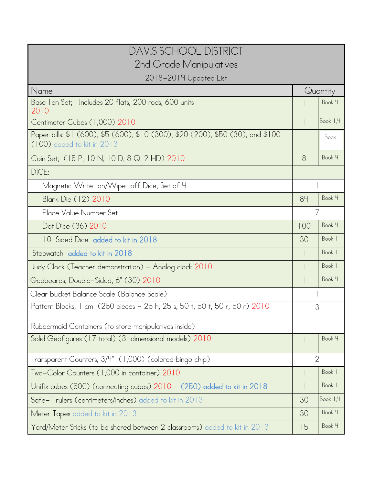| DAVIS SCHOOL DISTRICT                                                                                         |                |           |  |  |  |
|---------------------------------------------------------------------------------------------------------------|----------------|-----------|--|--|--|
| 2nd Grade Manipulatives                                                                                       |                |           |  |  |  |
| 2018-2019 Updated List                                                                                        |                |           |  |  |  |
| Name                                                                                                          |                | Quantity  |  |  |  |
| Base Ten Set; Includes 20 flats, 200 rods, 600 units<br>2010                                                  |                | Book 4    |  |  |  |
| Centimeter Cubes (1,000) 2010                                                                                 |                | Book 1,4  |  |  |  |
| Paper bills: \$1 (600), \$5 (600), \$10 (300), \$20 (200), \$50 (30), and \$100<br>(100) added to kit in 2013 |                | Book<br>4 |  |  |  |
| Coin Set; (15 P, 10 N, 10 D, 8 Q, 2 HD) 2010                                                                  | 8              | Book 4    |  |  |  |
| DICE:                                                                                                         |                |           |  |  |  |
| Magnetic Write-on/Wipe-off Dice, Set of 4                                                                     |                |           |  |  |  |
| Blank Die (12) 2010                                                                                           | 84             | Book 4    |  |  |  |
| Place Value Number Set                                                                                        | 7              |           |  |  |  |
| Dot Dice (36) 2010                                                                                            | 100            | Book 4    |  |  |  |
| 10-Sided Dice added to kit in 2018                                                                            | 30             | Book      |  |  |  |
| Stopwatch added to kit in 2018                                                                                |                | Book      |  |  |  |
| Judy Clock (Teacher demonstration) – Analog clock 2010                                                        |                | Book      |  |  |  |
| Geoboards, Double-Sided, 6" (30) 2010                                                                         |                | Book 4    |  |  |  |
| Clear Bucket Balance Scale (Balance Scale)                                                                    |                |           |  |  |  |
| Pattern Blocks, 1 cm (250 pieces - 25 h, 25 s, 50 t, 50 t, 50 r, 50 r) 2010                                   | 3              |           |  |  |  |
| Rubbermaid Containers (to store manipulatives inside)                                                         |                |           |  |  |  |
| Solid Geofigures (17 total) (3-dimensional models) 2010                                                       |                | Book 4    |  |  |  |
| Transparent Counters, 3/4" (1,000) (colored bingo chip)                                                       | $\overline{2}$ |           |  |  |  |
| Two-Color Counters (1,000 in container) 2010                                                                  |                | Book      |  |  |  |
| Unifix cubes (500) (connecting cubes) 2010 (250) added to kit in 2018                                         |                | Book      |  |  |  |
| Safe-T rulers (centimeters/inches) added to kit in 2013                                                       | 30             | Book 1,4  |  |  |  |
| Meter Tapes added to kit in 2013                                                                              | 30             | Book 4    |  |  |  |
| Yard/Meter Sticks (to be shared between 2 classrooms) added to kit in 2013                                    | 15             | Book 4    |  |  |  |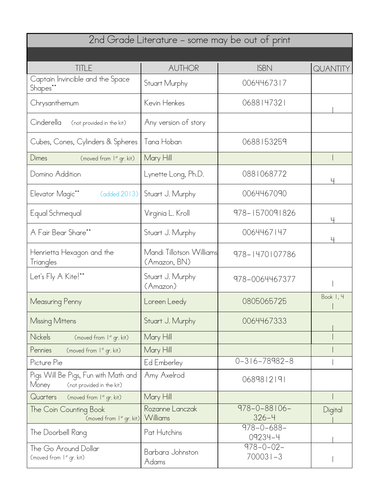| 2nd Grade Literature – some may be out of print                            |                                          |                                  |                      |  |  |
|----------------------------------------------------------------------------|------------------------------------------|----------------------------------|----------------------|--|--|
|                                                                            |                                          |                                  |                      |  |  |
| <b>TITLE</b>                                                               | <b>AUTHOR</b>                            | <b>ISBN</b>                      | QUANTITY             |  |  |
| Captain Invincible and the Space<br>Shapes**                               | Stuart Murphy                            | 0064467317                       |                      |  |  |
| Chrysanthemum                                                              | Kevin Henkes                             | 0688147321                       |                      |  |  |
| Cinderella<br>(not provided in the kit)                                    | Any version of story                     |                                  |                      |  |  |
| Cubes, Cones, Cylinders & Spheres                                          | Tana Hoban                               | 0688153259                       |                      |  |  |
| Dimes<br>(moved from 1st gr. kit)                                          | Mary Hill                                |                                  |                      |  |  |
| Domino Addition                                                            | Lynette Long, Ph.D.                      | 0881068772                       |                      |  |  |
| Elevator Magic**<br>(added 2013)                                           | Stuart J. Murphy                         | 0064467090                       |                      |  |  |
| Equal Schmequal                                                            | Virginia L. Kroll                        | 978-1570091826                   |                      |  |  |
| A Fair Bear Share**                                                        | Stuart J. Murphy                         | 0064467147                       |                      |  |  |
| Henrietta Hexagon and the<br>Triangles                                     | Mandi Tillotson Williams<br>(Amazon, BN) | 978-1470107786                   |                      |  |  |
| Let's Fly A Kite!**                                                        | Stuart J. Murphy<br>(Amazon)             | 978-0064467377                   |                      |  |  |
| Measuring Penny                                                            | Loreen Leedy                             | 0805065725                       | Book I, 4<br>$\perp$ |  |  |
| Missing Mittens                                                            | Stuart J. Murphy                         | 0064467333                       |                      |  |  |
| <b>Nickels</b><br>(moved from 1st gr. kit)                                 | Mary Hill                                |                                  |                      |  |  |
| Pennies<br>(moved from 1 <sup>st</sup> gr. kit)                            | Mary Hill                                |                                  |                      |  |  |
| Picture Pie                                                                | Ed Emberley                              | $0 - 316 - 78982 - 8$            |                      |  |  |
| Pigs Will Be Pigs, Fun with Math and<br>Money<br>(not provided in the kit) | Amy Axelrod                              | 0689812191                       |                      |  |  |
| Quarters<br>(moved from 1st gr. kit)                                       | Mary Hill                                |                                  |                      |  |  |
| The Coin Counting Book<br>(moved from I <sup>st</sup> gr. kit)             | Rozanne Lanczak<br>Williams              | $978 - 0 - 88106 -$<br>$326 - 4$ | Digital              |  |  |
| The Doorbell Rang                                                          | Pat Hutchins                             | $978 - 0 - 688 -$<br>09234-4     |                      |  |  |
| The Go Around Dollar<br>(moved from 1st gr. kit)                           | Barbara Johnston<br>Adams                | $978 - 0 - 02$<br>$700031 - 3$   |                      |  |  |